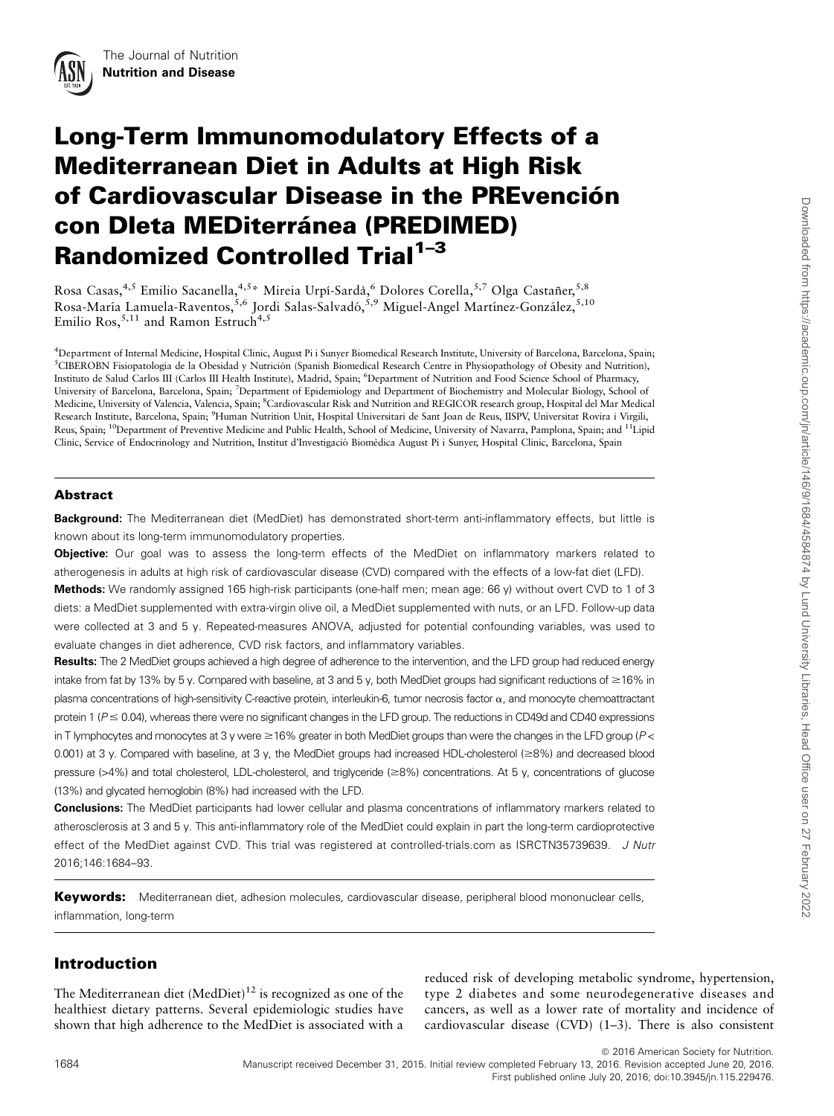

# Long-Term Immunomodulatory Effects of a Mediterranean Diet in Adults at High Risk of Cardiovascular Disease in the PREvención con Dieta MEDiterránea (PREDIMED) Randomized Controlled Trial<sup>1-3</sup>

Rosa Casas,<sup>4,5</sup> Emilio Sacanella,<sup>4,5</sup>\* Mireia Urpí-Sardà,<sup>6</sup> Dolores Corella,<sup>5,7</sup> Olga Castañer,<sup>5,8</sup> Rosa-María Lamuela-Raventos,<sup>5,6</sup> Jordi Salas-Salvadó,<sup>5,9</sup> Miguel-Angel Martínez-González,<sup>5,10</sup> Emilio Ros,  $5,11$  and Ramon Estruch<sup>4,5</sup>

4 Department of Internal Medicine, Hospital Clinic, August Pi i Sunyer Biomedical Research Institute, University of Barcelona, Barcelona, Spain; <sup>5</sup>CIBEROBN Fisiopatología de la Obesidad y Nutrición (Spanish Biomedical Research Centre in Physiopathology of Obesity and Nutrition), Instituto de Salud Carlos III (Carlos III Health Institute), Madrid, Spain; <sup>6</sup>Department of Nutrition and Food Science School of Pharmacy, University of Barcelona, Barcelona, Spain; <sup>7</sup>Department of Epidemiology and Department of Biochemistry and Molecular Biology, School of Medicine, University of Valencia, Valencia, Spain; <sup>8</sup>Cardiovascular Risk and Nutrition and REGICOR research group, Hospital del Mar Medical Research Institute, Barcelona, Spain; <sup>9</sup>Human Nutrition Unit, Hospital Universitari de Sant Joan de Reus, IISPV, Universitat Rovira i Virgili, Reus, Spain; 10Department of Preventive Medicine and Public Health, School of Medicine, University of Navarra, Pamplona, Spain; and 11Lipid Clinic, Service of Endocrinology and Nutrition, Institut d'Investigació Biomèdica August Pi i Sunyer, Hospital Clinic, Barcelona, Spain

#### Abstract

**Background:** The Mediterranean diet (MedDiet) has demonstrated short-term anti-inflammatory effects, but little is known about its long-term immunomodulatory properties.

**Objective:** Our goal was to assess the long-term effects of the MedDiet on inflammatory markers related to atherogenesis in adults at high risk of cardiovascular disease (CVD) compared with the effects of a low-fat diet (LFD).

Methods: We randomly assigned 165 high-risk participants (one-half men; mean age: 66 y) without overt CVD to 1 of 3 diets: a MedDiet supplemented with extra-virgin olive oil, a MedDiet supplemented with nuts, or an LFD. Follow-up data were collected at 3 and 5 y. Repeated-measures ANOVA, adjusted for potential confounding variables, was used to evaluate changes in diet adherence, CVD risk factors, and inflammatory variables.

Results: The 2 MedDiet groups achieved a high degree of adherence to the intervention, and the LFD group had reduced energy intake from fat by 13% by 5 y. Compared with baseline, at 3 and 5 y, both MedDiet groups had significant reductions of  $\geq$ 16% in plasma concentrations of high-sensitivity C-reactive protein, interleukin-6, tumor necrosis factor  $\alpha$ , and monocyte chemoattractant protein 1 ( $P \le 0.04$ ), whereas there were no significant changes in the LFD group. The reductions in CD49d and CD40 expressions in T lymphocytes and monocytes at 3 y were  $\geq$  16% greater in both MedDiet groups than were the changes in the LFD group ( $P$  < 0.001) at 3 y. Compared with baseline, at 3 y, the MedDiet groups had increased HDL-cholesterol ( $\geq$ 8%) and decreased blood pressure  $(>4%)$  and total cholesterol, LDL-cholesterol, and triglyceride  $(≥8%)$  concentrations. At 5 y, concentrations of glucose (13%) and glycated hemoglobin (8%) had increased with the LFD.

Conclusions: The MedDiet participants had lower cellular and plasma concentrations of inflammatory markers related to atherosclerosis at 3 and 5 y. This anti-inflammatory role of the MedDiet could explain in part the long-term cardioprotective effect of the MedDiet against CVD. This trial was registered at controlled-trials.com as ISRCTN35739639. J Nutr 2016;146:1684–93.

Keywords: Mediterranean diet, adhesion molecules, cardiovascular disease, peripheral blood mononuclear cells, inflammation, long-term

## Introduction

The Mediterranean diet  $(MedDict)^{12}$  is recognized as one of the healthiest dietary patterns. Several epidemiologic studies have shown that high adherence to the MedDiet is associated with a

reduced risk of developing metabolic syndrome, hypertension, type 2 diabetes and some neurodegenerative diseases and cancers, as well as a lower rate of mortality and incidence of cardiovascular disease (CVD) (1–3). There is also consistent

 $©$  2016 American Society for Nutrition.

<sup>1684</sup> Manuscript received December 31, 2015. Initial review completed February 13, 2016. Revision accepted June 20, 2016. First published online July 20, 2016; doi:10.3945/jn.115.229476.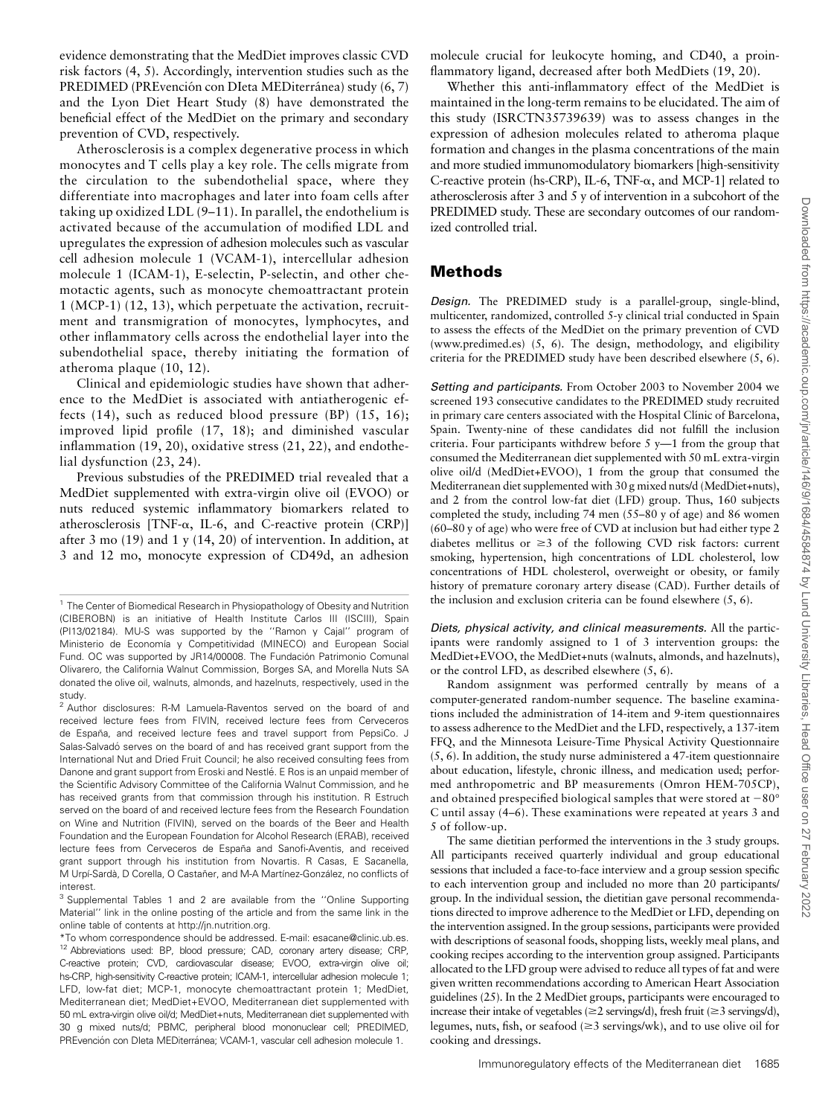evidence demonstrating that the MedDiet improves classic CVD risk factors (4, 5). Accordingly, intervention studies such as the PREDIMED (PREvención con DIeta MEDiterránea) study (6, 7) and the Lyon Diet Heart Study (8) have demonstrated the beneficial effect of the MedDiet on the primary and secondary prevention of CVD, respectively.

Atherosclerosis is a complex degenerative process in which monocytes and T cells play a key role. The cells migrate from the circulation to the subendothelial space, where they differentiate into macrophages and later into foam cells after taking up oxidized LDL (9–11). In parallel, the endothelium is activated because of the accumulation of modified LDL and upregulates the expression of adhesion molecules such as vascular cell adhesion molecule 1 (VCAM-1), intercellular adhesion molecule 1 (ICAM-1), E-selectin, P-selectin, and other chemotactic agents, such as monocyte chemoattractant protein 1 (MCP-1) (12, 13), which perpetuate the activation, recruitment and transmigration of monocytes, lymphocytes, and other inflammatory cells across the endothelial layer into the subendothelial space, thereby initiating the formation of atheroma plaque (10, 12).

Clinical and epidemiologic studies have shown that adherence to the MedDiet is associated with antiatherogenic effects (14), such as reduced blood pressure (BP) (15, 16); improved lipid profile (17, 18); and diminished vascular inflammation (19, 20), oxidative stress (21, 22), and endothelial dysfunction (23, 24).

Previous substudies of the PREDIMED trial revealed that a MedDiet supplemented with extra-virgin olive oil (EVOO) or nuts reduced systemic inflammatory biomarkers related to atherosclerosis [TNF- $\alpha$ , IL-6, and C-reactive protein (CRP)] after 3 mo (19) and 1 y (14, 20) of intervention. In addition, at 3 and 12 mo, monocyte expression of CD49d, an adhesion molecule crucial for leukocyte homing, and CD40, a proinflammatory ligand, decreased after both MedDiets (19, 20).

Whether this anti-inflammatory effect of the MedDiet is maintained in the long-term remains to be elucidated. The aim of this study (ISRCTN35739639) was to assess changes in the expression of adhesion molecules related to atheroma plaque formation and changes in the plasma concentrations of the main and more studied immunomodulatory biomarkers [high-sensitivity C-reactive protein (hs-CRP), IL-6,  $TNF-\alpha$ , and MCP-1] related to atherosclerosis after 3 and 5 y of intervention in a subcohort of the PREDIMED study. These are secondary outcomes of our randomized controlled trial.

### Methods

Design. The PREDIMED study is a parallel-group, single-blind, multicenter, randomized, controlled 5-y clinical trial conducted in Spain to assess the effects of the MedDiet on the primary prevention of CVD (www.predimed.es) (5, 6). The design, methodology, and eligibility criteria for the PREDIMED study have been described elsewhere (5, 6).

Setting and participants. From October 2003 to November 2004 we screened 193 consecutive candidates to the PREDIMED study recruited in primary care centers associated with the Hospital Clínic of Barcelona, Spain. Twenty-nine of these candidates did not fulfill the inclusion criteria. Four participants withdrew before 5 y—1 from the group that consumed the Mediterranean diet supplemented with 50 mL extra-virgin olive oil/d (MedDiet+EVOO), 1 from the group that consumed the Mediterranean diet supplemented with 30 g mixed nuts/d (MedDiet+nuts), and 2 from the control low-fat diet (LFD) group. Thus, 160 subjects completed the study, including 74 men (55–80 y of age) and 86 women (60–80 y of age) who were free of CVD at inclusion but had either type 2 diabetes mellitus or  $\geq$ 3 of the following CVD risk factors: current smoking, hypertension, high concentrations of LDL cholesterol, low concentrations of HDL cholesterol, overweight or obesity, or family history of premature coronary artery disease (CAD). Further details of the inclusion and exclusion criteria can be found elsewhere (5, 6).

Diets, physical activity, and clinical measurements. All the participants were randomly assigned to 1 of 3 intervention groups: the MedDiet+EVOO, the MedDiet+nuts (walnuts, almonds, and hazelnuts), or the control LFD, as described elsewhere (5, 6).

Random assignment was performed centrally by means of a computer-generated random-number sequence. The baseline examinations included the administration of 14-item and 9-item questionnaires to assess adherence to the MedDiet and the LFD, respectively, a 137-item FFQ, and the Minnesota Leisure-Time Physical Activity Questionnaire (5, 6). In addition, the study nurse administered a 47-item questionnaire about education, lifestyle, chronic illness, and medication used; performed anthropometric and BP measurements (Omron HEM-705CP), and obtained prespecified biological samples that were stored at  $-80^\circ$ C until assay (4–6). These examinations were repeated at years 3 and 5 of follow-up.

The same dietitian performed the interventions in the 3 study groups. All participants received quarterly individual and group educational sessions that included a face-to-face interview and a group session specific to each intervention group and included no more than 20 participants/ group. In the individual session, the dietitian gave personal recommendations directed to improve adherence to the MedDiet or LFD, depending on the intervention assigned. In the group sessions, participants were provided with descriptions of seasonal foods, shopping lists, weekly meal plans, and cooking recipes according to the intervention group assigned. Participants allocated to the LFD group were advised to reduce all types of fat and were given written recommendations according to American Heart Association guidelines (25). In the 2 MedDiet groups, participants were encouraged to increase their intake of vegetables ( $\geq$ 2 servings/d), fresh fruit ( $\geq$ 3 servings/d), legumes, nuts, fish, or seafood ( $\geq$ 3 servings/wk), and to use olive oil for cooking and dressings.

<sup>&</sup>lt;sup>1</sup> The Center of Biomedical Research in Physiopathology of Obesity and Nutrition (CIBEROBN) is an initiative of Health Institute Carlos III (ISCIII), Spain (PI13/02184). MU-S was supported by the ''Ramon y Cajal'' program of Ministerio de Economía y Competitividad (MINECO) and European Social Fund. OC was supported by JR14/00008. The Fundación Patrimonio Comunal Olivarero, the California Walnut Commission, Borges SA, and Morella Nuts SA donated the olive oil, walnuts, almonds, and hazelnuts, respectively, used in the study.

<sup>2</sup> Author disclosures: R-M Lamuela-Raventos served on the board of and received lecture fees from FIVIN, received lecture fees from Cerveceros de España, and received lecture fees and travel support from PepsiCo. J Salas-Salvadó serves on the board of and has received grant support from the International Nut and Dried Fruit Council; he also received consulting fees from Danone and grant support from Eroski and Nestle. E Ros is an unpaid member of ´ the Scientific Advisory Committee of the California Walnut Commission, and he has received grants from that commission through his institution. R Estruch served on the board of and received lecture fees from the Research Foundation on Wine and Nutrition (FIVIN), served on the boards of the Beer and Health Foundation and the European Foundation for Alcohol Research (ERAB), received lecture fees from Cerveceros de España and Sanofi-Aventis, and received grant support through his institution from Novartis. R Casas, E Sacanella, M Urpí-Sardà, D Corella, O Castañer, and M-A Martínez-González, no conflicts of interest.

<sup>3</sup> Supplemental Tables 1 and 2 are available from the ''Online Supporting Material'' link in the online posting of the article and from the same link in the online table of contents at http://jn.nutrition.org.

<sup>\*</sup>To whom correspondence should be addressed. E-mail: esacane@clinic.ub.es. <sup>12</sup> Abbreviations used: BP, blood pressure; CAD, coronary artery disease; CRP, C-reactive protein; CVD, cardiovascular disease; EVOO, extra-virgin olive oil; hs-CRP, high-sensitivity C-reactive protein; ICAM-1, intercellular adhesion molecule 1; LFD, low-fat diet; MCP-1, monocyte chemoattractant protein 1; MedDiet, Mediterranean diet; MedDiet+EVOO, Mediterranean diet supplemented with 50 mL extra-virgin olive oil/d; MedDiet+nuts, Mediterranean diet supplemented with 30 g mixed nuts/d; PBMC, peripheral blood mononuclear cell; PREDIMED, PREvención con DIeta MEDiterránea; VCAM-1, vascular cell adhesion molecule 1.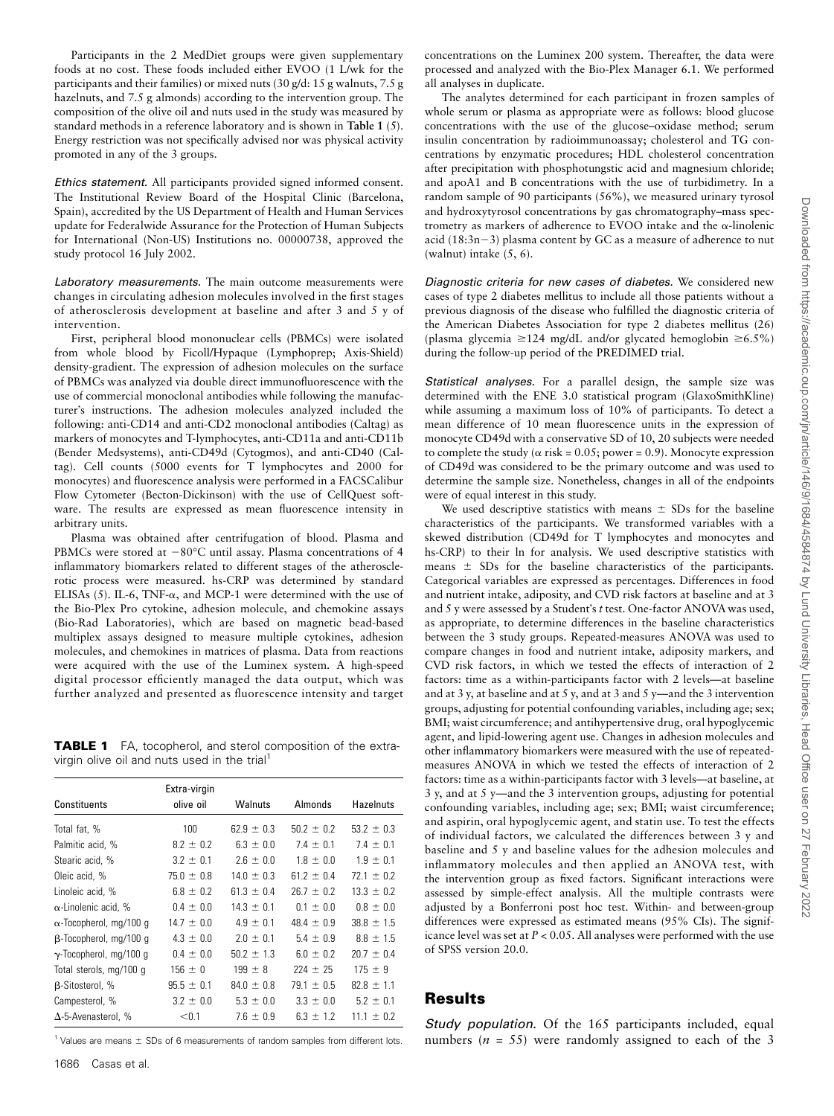Participants in the 2 MedDiet groups were given supplementary foods at no cost. These foods included either EVOO (1 L/wk for the participants and their families) or mixed nuts (30 g/d: 15 g walnuts, 7.5 g hazelnuts, and 7.5 g almonds) according to the intervention group. The composition of the olive oil and nuts used in the study was measured by standard methods in a reference laboratory and is shown in Table 1 (5). Energy restriction was not specifically advised nor was physical activity promoted in any of the 3 groups.

Ethics statement. All participants provided signed informed consent. The Institutional Review Board of the Hospital Clinic (Barcelona, Spain), accredited by the US Department of Health and Human Services update for Federalwide Assurance for the Protection of Human Subjects for International (Non-US) Institutions no. 00000738, approved the study protocol 16 July 2002.

Laboratory measurements. The main outcome measurements were changes in circulating adhesion molecules involved in the first stages of atherosclerosis development at baseline and after 3 and 5 y of intervention.

First, peripheral blood mononuclear cells (PBMCs) were isolated from whole blood by Ficoll/Hypaque (Lymphoprep; Axis-Shield) density-gradient. The expression of adhesion molecules on the surface of PBMCs was analyzed via double direct immunofluorescence with the use of commercial monoclonal antibodies while following the manufacturer's instructions. The adhesion molecules analyzed included the following: anti-CD14 and anti-CD2 monoclonal antibodies (Caltag) as markers of monocytes and T-lymphocytes, anti-CD11a and anti-CD11b (Bender Medsystems), anti-CD49d (Cytogmos), and anti-CD40 (Caltag). Cell counts (5000 events for T lymphocytes and 2000 for monocytes) and fluorescence analysis were performed in a FACSCalibur Flow Cytometer (Becton-Dickinson) with the use of CellQuest software. The results are expressed as mean fluorescence intensity in arbitrary units.

Plasma was obtained after centrifugation of blood. Plasma and PBMCs were stored at  $-80^{\circ}$ C until assay. Plasma concentrations of 4 inflammatory biomarkers related to different stages of the atherosclerotic process were measured. hs-CRP was determined by standard ELISAs (5). IL-6, TNF- $\alpha$ , and MCP-1 were determined with the use of the Bio-Plex Pro cytokine, adhesion molecule, and chemokine assays (Bio-Rad Laboratories), which are based on magnetic bead-based multiplex assays designed to measure multiple cytokines, adhesion molecules, and chemokines in matrices of plasma. Data from reactions were acquired with the use of the Luminex system. A high-speed digital processor efficiently managed the data output, which was further analyzed and presented as fluorescence intensity and target

**TABLE 1** FA, tocopherol, and sterol composition of the extravirgin olive oil and nuts used in the trial<sup>1</sup>

| Constituents                   | Extra-virgin<br>olive oil | Walnuts        | Almonds        | Hazelnuts      |
|--------------------------------|---------------------------|----------------|----------------|----------------|
| Total fat. %                   | $100 -$                   | $62.9 \pm 0.3$ | $50.2 \pm 0.2$ | $53.2 \pm 0.3$ |
| Palmitic acid, %               | $8.2 \pm 0.2$             | $6.3 \pm 0.0$  | $7.4 \pm 0.1$  | $7.4 \pm 0.1$  |
| Stearic acid. %                | $3.2 \pm 0.1$             | $2.6 \pm 0.0$  | $1.8 \pm 0.0$  | $1.9 \pm 0.1$  |
| Oleic acid. %                  | $75.0 \pm 0.8$            | $14.0 \pm 0.3$ | $61.2 \pm 0.4$ | $72.1 \pm 0.2$ |
| Linoleic acid, %               | $6.8 \pm 0.2$             | 61.3 $\pm$ 0.4 | $26.7 \pm 0.2$ | $13.3 \pm 0.2$ |
| $\alpha$ -Linolenic acid, %    | $0.4 \pm 0.0$             | $14.3 \pm 0.1$ | $0.1 \pm 0.0$  | $0.8 \pm 0.0$  |
| $\alpha$ -Tocopherol, mg/100 g | $14.7 \pm 0.0$            | $4.9 \pm 0.1$  | $48.4 \pm 0.9$ | $38.8 \pm 1.5$ |
| B-Tocopherol, mg/100 g         | $4.3 \pm 0.0$             | $2.0 \pm 0.1$  | $5.4 \pm 0.9$  | $8.8 \pm 1.5$  |
| $\gamma$ -Tocopherol, mg/100 g | $0.4 \pm 0.0$             | $50.2 \pm 1.3$ | $6.0 \pm 0.2$  | $20.7 \pm 0.4$ |
| Total sterols, mg/100 g        | $156 \pm 0$               | $199 \pm 8$    | $224 \pm 25$   | $175 \pm 9$    |
| <b>B-Sitosterol, %</b>         | $95.5 \pm 0.1$            | $84.0 \pm 0.8$ | $79.1 \pm 0.5$ | $82.8 \pm 1.1$ |
| Campesterol, %                 | $3.2 \pm 0.0$             | $5.3 \pm 0.0$  | $3.3 \pm 0.0$  | $5.2 \pm 0.1$  |
| $\Delta$ -5-Avenasterol, %     | < 0.1                     | $7.6 \pm 0.9$  | $6.3 \pm 1.2$  | $11.1 \pm 0.2$ |

<sup>1</sup> Values are means  $\pm$  SDs of 6 measurements of random samples from different lots.

concentrations on the Luminex 200 system. Thereafter, the data were processed and analyzed with the Bio-Plex Manager 6.1. We performed all analyses in duplicate.

The analytes determined for each participant in frozen samples of whole serum or plasma as appropriate were as follows: blood glucose concentrations with the use of the glucose–oxidase method; serum insulin concentration by radioimmunoassay; cholesterol and TG concentrations by enzymatic procedures; HDL cholesterol concentration after precipitation with phosphotungstic acid and magnesium chloride; and apoA1 and B concentrations with the use of turbidimetry. In a random sample of 90 participants (56%), we measured urinary tyrosol and hydroxytyrosol concentrations by gas chromatography–mass spectrometry as markers of adherence to EVOO intake and the a-linolenic acid (18:3n-3) plasma content by GC as a measure of adherence to nut (walnut) intake (5, 6).

Diagnostic criteria for new cases of diabetes. We considered new cases of type 2 diabetes mellitus to include all those patients without a previous diagnosis of the disease who fulfilled the diagnostic criteria of the American Diabetes Association for type 2 diabetes mellitus (26) (plasma glycemia  $\geq$ 124 mg/dL and/or glycated hemoglobin  $\geq$ 6.5%) during the follow-up period of the PREDIMED trial.

Statistical analyses. For a parallel design, the sample size was determined with the ENE 3.0 statistical program (GlaxoSmithKline) while assuming a maximum loss of 10% of participants. To detect a mean difference of 10 mean fluorescence units in the expression of monocyte CD49d with a conservative SD of 10, 20 subjects were needed to complete the study ( $\alpha$  risk = 0.05; power = 0.9). Monocyte expression of CD49d was considered to be the primary outcome and was used to determine the sample size. Nonetheless, changes in all of the endpoints were of equal interest in this study.

We used descriptive statistics with means  $\pm$  SDs for the baseline characteristics of the participants. We transformed variables with a skewed distribution (CD49d for T lymphocytes and monocytes and hs-CRP) to their ln for analysis. We used descriptive statistics with means  $\pm$  SDs for the baseline characteristics of the participants. Categorical variables are expressed as percentages. Differences in food and nutrient intake, adiposity, and CVD risk factors at baseline and at 3 and 5 y were assessed by a Student's  $t$  test. One-factor ANOVA was used, as appropriate, to determine differences in the baseline characteristics between the 3 study groups. Repeated-measures ANOVA was used to compare changes in food and nutrient intake, adiposity markers, and CVD risk factors, in which we tested the effects of interaction of 2 factors: time as a within-participants factor with 2 levels—at baseline and at 3 y, at baseline and at 5 y, and at 3 and 5 y—and the 3 intervention groups, adjusting for potential confounding variables, including age; sex; BMI; waist circumference; and antihypertensive drug, oral hypoglycemic agent, and lipid-lowering agent use. Changes in adhesion molecules and other inflammatory biomarkers were measured with the use of repeatedmeasures ANOVA in which we tested the effects of interaction of 2 factors: time as a within-participants factor with 3 levels—at baseline, at 3 y, and at 5 y—and the 3 intervention groups, adjusting for potential confounding variables, including age; sex; BMI; waist circumference; and aspirin, oral hypoglycemic agent, and statin use. To test the effects of individual factors, we calculated the differences between 3 y and baseline and 5 y and baseline values for the adhesion molecules and inflammatory molecules and then applied an ANOVA test, with the intervention group as fixed factors. Significant interactions were assessed by simple-effect analysis. All the multiple contrasts were adjusted by a Bonferroni post hoc test. Within- and between-group differences were expressed as estimated means (95% CIs). The significance level was set at  $P < 0.05$ . All analyses were performed with the use of SPSS version 20.0.

## **Results**

Study population. Of the 165 participants included, equal numbers ( $n = 55$ ) were randomly assigned to each of the 3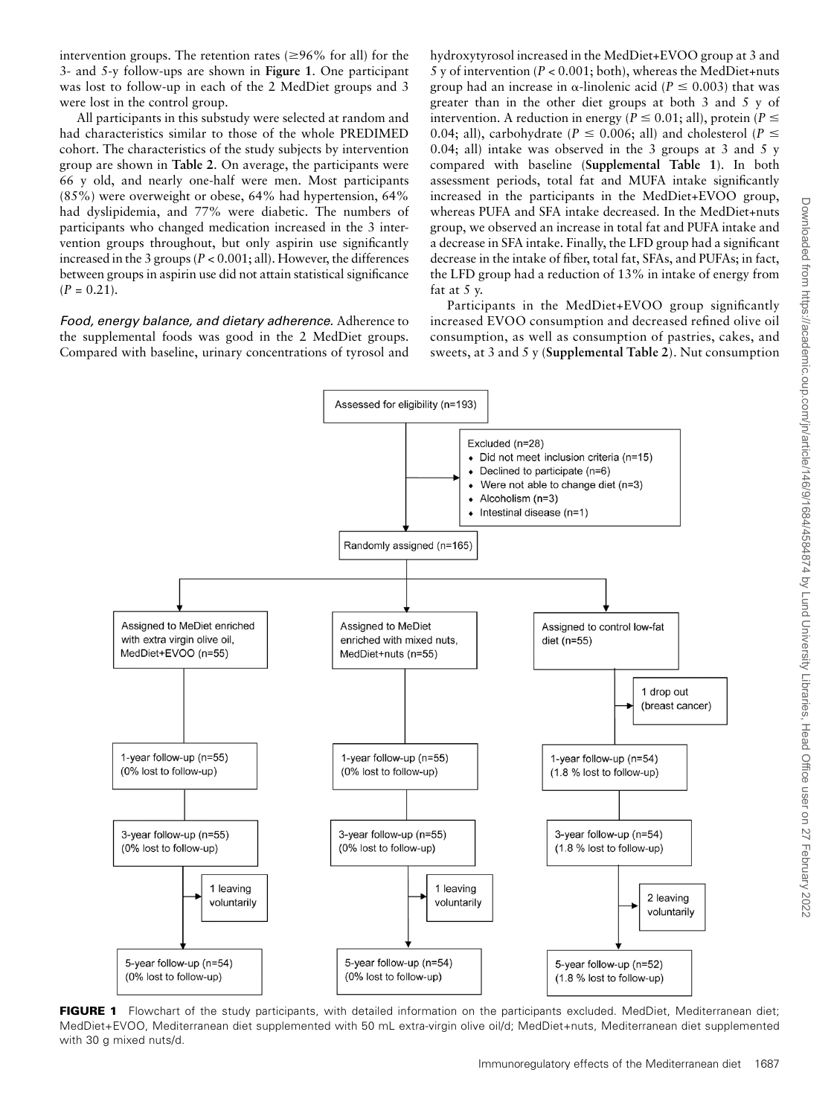intervention groups. The retention rates  $(\geq 96\%$  for all) for the 3- and 5-y follow-ups are shown in Figure 1. One participant was lost to follow-up in each of the 2 MedDiet groups and 3 were lost in the control group.

All participants in this substudy were selected at random and had characteristics similar to those of the whole PREDIMED cohort. The characteristics of the study subjects by intervention group are shown in Table 2. On average, the participants were 66 y old, and nearly one-half were men. Most participants (85%) were overweight or obese, 64% had hypertension, 64% had dyslipidemia, and 77% were diabetic. The numbers of participants who changed medication increased in the 3 intervention groups throughout, but only aspirin use significantly increased in the 3 groups ( $P < 0.001$ ; all). However, the differences between groups in aspirin use did not attain statistical significance  $(P = 0.21)$ .

Food, energy balance, and dietary adherence. Adherence to the supplemental foods was good in the 2 MedDiet groups. Compared with baseline, urinary concentrations of tyrosol and

hydroxytyrosol increased in the MedDiet+EVOO group at 3 and 5 y of intervention ( $P < 0.001$ ; both), whereas the MedDiet+nuts group had an increase in  $\alpha$ -linolenic acid ( $P \le 0.003$ ) that was greater than in the other diet groups at both 3 and 5 y of intervention. A reduction in energy ( $P \le 0.01$ ; all), protein ( $P \le$ 0.04; all), carbohydrate ( $P \le 0.006$ ; all) and cholesterol ( $P \le$ 0.04; all) intake was observed in the 3 groups at 3 and 5 y compared with baseline (Supplemental Table 1). In both assessment periods, total fat and MUFA intake significantly increased in the participants in the MedDiet+EVOO group, whereas PUFA and SFA intake decreased. In the MedDiet+nuts group, we observed an increase in total fat and PUFA intake and a decrease in SFA intake. Finally, the LFD group had a significant decrease in the intake of fiber, total fat, SFAs, and PUFAs; in fact, the LFD group had a reduction of 13% in intake of energy from fat at 5 y.

Participants in the MedDiet+EVOO group significantly increased EVOO consumption and decreased refined olive oil consumption, as well as consumption of pastries, cakes, and sweets, at 3 and 5 y (Supplemental Table 2). Nut consumption



FIGURE 1 Flowchart of the study participants, with detailed information on the participants excluded. MedDiet, Mediterranean diet; MedDiet+EVOO, Mediterranean diet supplemented with 50 mL extra-virgin olive oil/d; MedDiet+nuts, Mediterranean diet supplemented with 30 g mixed nuts/d.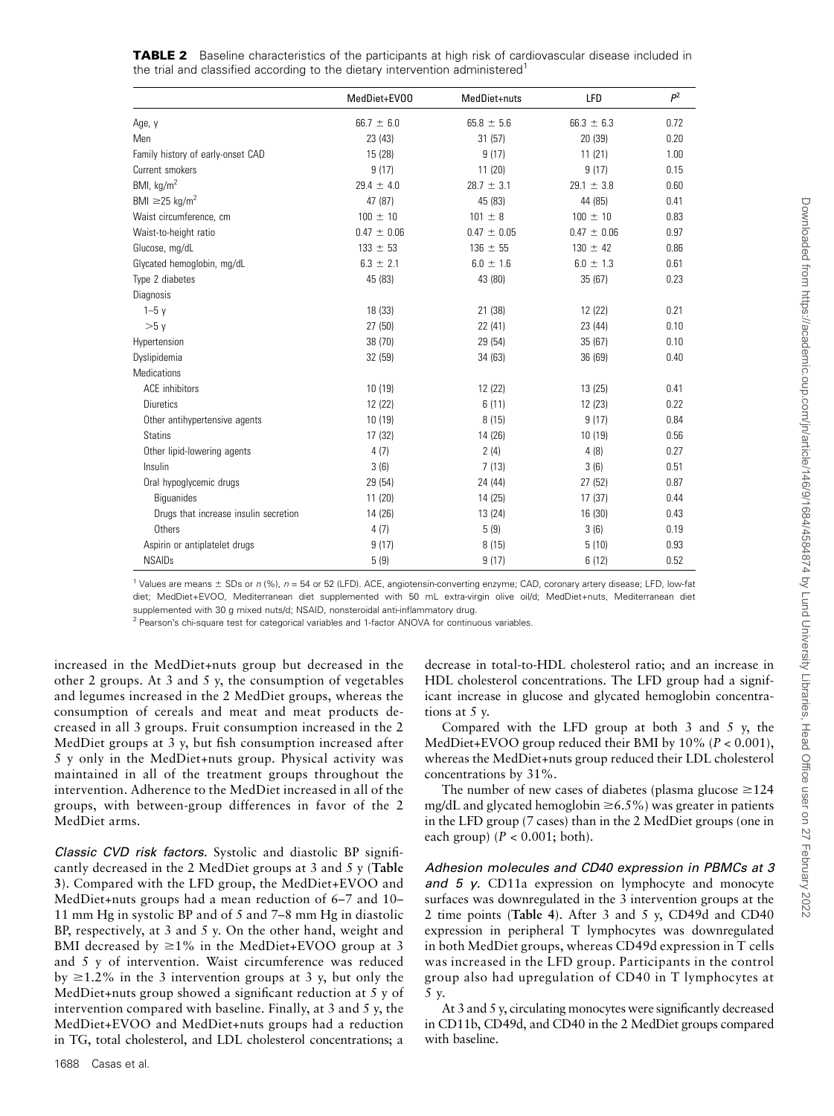|                                       | MedDiet+EV00    | MedDiet+nuts    | LFD             | $P^2$ |
|---------------------------------------|-----------------|-----------------|-----------------|-------|
| Age, y                                | $66.7 \pm 6.0$  | $65.8 \pm 5.6$  | $66.3 \pm 6.3$  | 0.72  |
| Men                                   | 23 (43)         | 31(57)          | 20 (39)         | 0.20  |
| Family history of early-onset CAD     | 15 (28)         | 9(17)           | 11(21)          | 1.00  |
| Current smokers                       | 9(17)           | 11(20)          | 9(17)           | 0.15  |
| BMI, $\text{kg/m}^2$                  | $29.4 \pm 4.0$  | $28.7 \pm 3.1$  | 29.1 $\pm$ 3.8  | 0.60  |
| BMI $\geq$ 25 kg/m <sup>2</sup>       | 47 (87)         | 45 (83)         | 44 (85)         | 0.41  |
| Waist circumference, cm               | $100 \pm 10$    | $101 \pm 8$     | $100 \pm 10$    | 0.83  |
| Waist-to-height ratio                 | $0.47 \pm 0.06$ | $0.47 \pm 0.05$ | $0.47 \pm 0.06$ | 0.97  |
| Glucose, mg/dL                        | $133 \pm 53$    | $136 \pm 55$    | $130 \pm 42$    | 0.86  |
| Glycated hemoglobin, mg/dL            | $6.3 \pm 2.1$   | $6.0 \pm 1.6$   | $6.0 \pm 1.3$   | 0.61  |
| Type 2 diabetes                       | 45 (83)         | 43 (80)         | 35(67)          | 0.23  |
| <b>Diagnosis</b>                      |                 |                 |                 |       |
| $1-5y$                                | 18 (33)         | 21 (38)         | 12 (22)         | 0.21  |
| >5v                                   | 27 (50)         | 22 (41)         | 23 (44)         | 0.10  |
| Hypertension                          | 38 (70)         | 29 (54)         | 35(67)          | 0.10  |
| Dyslipidemia                          | 32 (59)         | 34 (63)         | 36 (69)         | 0.40  |
| <b>Medications</b>                    |                 |                 |                 |       |
| <b>ACE</b> inhibitors                 | 10(19)          | 12 (22)         | 13(25)          | 0.41  |
| <b>Diuretics</b>                      | 12 (22)         | 6(11)           | 12 (23)         | 0.22  |
| Other antihypertensive agents         | 10 (19)         | 8(15)           | 9(17)           | 0.84  |
| <b>Statins</b>                        | 17 (32)         | 14 (26)         | 10 (19)         | 0.56  |
| Other lipid-lowering agents           | 4(7)            | 2(4)            | 4(8)            | 0.27  |
| Insulin                               | 3(6)            | 7(13)           | 3(6)            | 0.51  |
| Oral hypoglycemic drugs               | 29 (54)         | 24 (44)         | 27(52)          | 0.87  |
| <b>Biquanides</b>                     | 11 (20)         | 14 (25)         | 17(37)          | 0.44  |
| Drugs that increase insulin secretion | 14 (26)         | 13 (24)         | 16 (30)         | 0.43  |
| Others                                | 4(7)            | 5(9)            | 3(6)            | 0.19  |
| Aspirin or antiplatelet drugs         | 9(17)           | 8(15)           | 5(10)           | 0.93  |
| <b>NSAIDs</b>                         | 5(9)            | 9(17)           | 6(12)           | 0.52  |

**TABLE 2** Baseline characteristics of the participants at high risk of cardiovascular disease included in the trial and classified according to the dietary intervention administered<sup>1</sup>

 $1$  Values are means  $\pm$  SDs or n (%),  $n = 54$  or 52 (LFD). ACE, angiotensin-converting enzyme; CAD, coronary artery disease; LFD, low-fat diet; MedDiet+EVOO, Mediterranean diet supplemented with 50 mL extra-virgin olive oil/d; MedDiet+nuts, Mediterranean diet supplemented with 30 g mixed nuts/d; NSAID, nonsteroidal anti-inflammatory drug.

 $2$  Pearson's chi-square test for categorical variables and 1-factor ANOVA for continuous variables

increased in the MedDiet+nuts group but decreased in the other 2 groups. At 3 and 5 y, the consumption of vegetables and legumes increased in the 2 MedDiet groups, whereas the consumption of cereals and meat and meat products decreased in all 3 groups. Fruit consumption increased in the 2 MedDiet groups at 3 y, but fish consumption increased after 5 y only in the MedDiet+nuts group. Physical activity was maintained in all of the treatment groups throughout the intervention. Adherence to the MedDiet increased in all of the groups, with between-group differences in favor of the 2 MedDiet arms.

Classic CVD risk factors. Systolic and diastolic BP significantly decreased in the 2 MedDiet groups at 3 and 5 y (Table 3). Compared with the LFD group, the MedDiet+EVOO and MedDiet+nuts groups had a mean reduction of 6–7 and 10– 11 mm Hg in systolic BP and of 5 and 7–8 mm Hg in diastolic BP, respectively, at 3 and 5 y. On the other hand, weight and BMI decreased by  $\geq$ 1% in the MedDiet+EVOO group at 3 and 5 y of intervention. Waist circumference was reduced by  $\geq 1.2\%$  in the 3 intervention groups at 3 y, but only the MedDiet+nuts group showed a significant reduction at 5 y of intervention compared with baseline. Finally, at 3 and 5 y, the MedDiet+EVOO and MedDiet+nuts groups had a reduction in TG, total cholesterol, and LDL cholesterol concentrations; a

decrease in total-to-HDL cholesterol ratio; and an increase in HDL cholesterol concentrations. The LFD group had a significant increase in glucose and glycated hemoglobin concentrations at 5 y.

Compared with the LFD group at both 3 and 5 y, the MedDiet+EVOO group reduced their BMI by  $10\%$  ( $P < 0.001$ ), whereas the MedDiet+nuts group reduced their LDL cholesterol concentrations by 31%.

The number of new cases of diabetes (plasma glucose  $\geq$ 124 mg/dL and glycated hemoglobin  $\geq 6.5\%$ ) was greater in patients in the LFD group (7 cases) than in the 2 MedDiet groups (one in each group)  $(P < 0.001$ ; both).

Adhesion molecules and CD40 expression in PBMCs at 3 and 5 y. CD11a expression on lymphocyte and monocyte surfaces was downregulated in the 3 intervention groups at the 2 time points (Table 4). After 3 and 5 y, CD49d and CD40 expression in peripheral T lymphocytes was downregulated in both MedDiet groups, whereas CD49d expression in T cells was increased in the LFD group. Participants in the control group also had upregulation of CD40 in T lymphocytes at 5 y.

At 3 and 5 y, circulating monocytes were significantly decreased in CD11b, CD49d, and CD40 in the 2 MedDiet groups compared with baseline.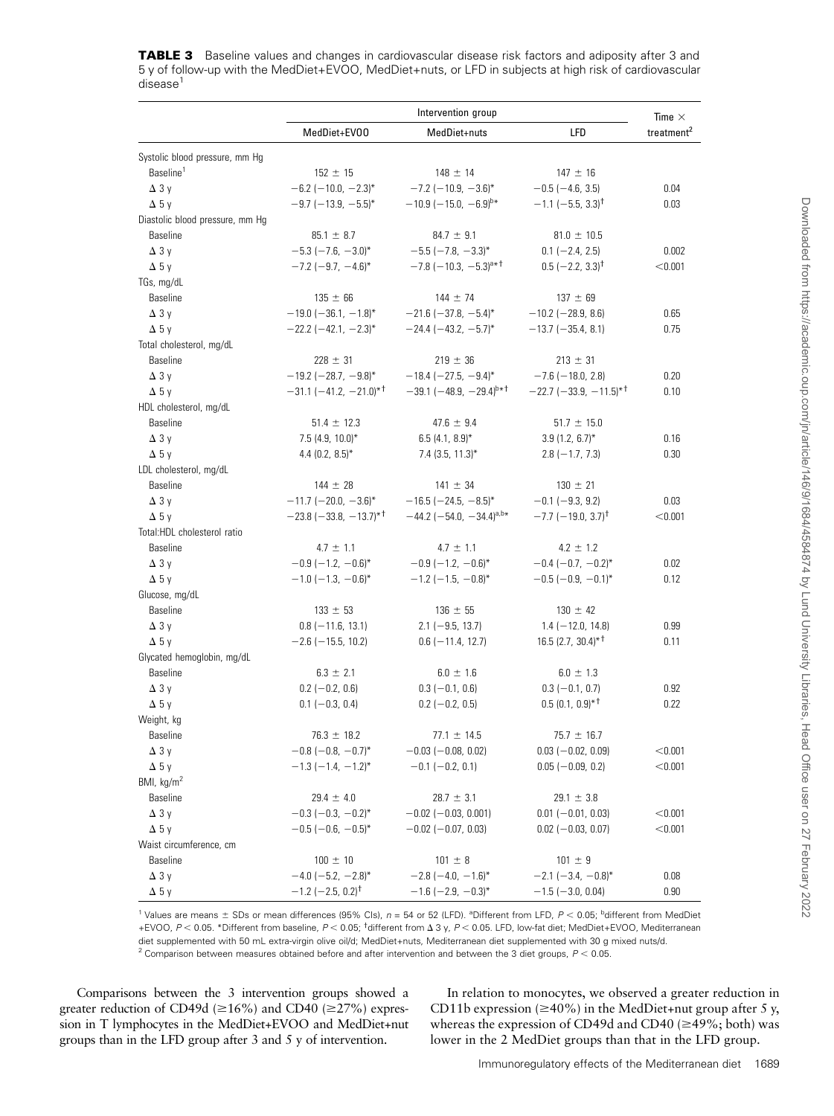|                                            | Intervention group                          |                                            |                                            | Time $\times$          |
|--------------------------------------------|---------------------------------------------|--------------------------------------------|--------------------------------------------|------------------------|
|                                            | MedDiet+EV00                                | MedDiet+nuts                               | LFD                                        | treatment <sup>2</sup> |
| Systolic blood pressure, mm Hg             |                                             |                                            |                                            |                        |
| Baseline <sup>1</sup>                      | $152 \pm 15$                                | $148 \pm 14$                               | $147 \pm 16$                               |                        |
| $\Delta$ 3 y                               | $-6.2$ (-10.0, -2.3)*                       | $-7.2$ (-10.9, -3.6)*                      | $-0.5$ ( $-4.6$ , 3.5)                     | 0.04                   |
| $\Delta$ 5 y                               | $-9.7$ (-13.9, -5.5)*                       | $-10.9$ (-15.0, -6.9) <sup>b*</sup>        | $-1.1$ (-5.5, 3.3) <sup>†</sup>            | 0.03                   |
| Diastolic blood pressure, mm Hg            |                                             |                                            |                                            |                        |
| <b>Baseline</b>                            | $85.1 \pm 8.7$                              | $84.7 \pm 9.1$                             | $81.0 \pm 10.5$                            |                        |
| $\Delta$ 3 y                               | $-5.3$ (-7.6, -3.0)*                        | $-5.5$ ( $-7.8$ , $-3.3$ )*                | $0.1$ (-2.4, 2.5)                          | 0.002                  |
| $\Delta$ 5 y                               | $-7.2$ (-9.7, -4.6)*                        | $-7.8$ ( $-10.3$ , $-5.3$ ) <sup>a*†</sup> | $0.5$ (-2.2, 3.3) <sup>†</sup>             | < 0.001                |
| TGs, mg/dL                                 |                                             |                                            |                                            |                        |
| <b>Baseline</b>                            | $135 \pm 66$                                | $144 \pm 74$                               | $137 \pm 69$                               |                        |
| $\Delta$ 3 y                               | $-19.0$ (-36.1, -1.8)*                      | $-21.6$ ( $-37.8$ , $-5.4$ )*              | $-10.2$ ( $-28.9$ , 8.6)                   | 0.65                   |
| $\Delta$ 5 y                               | $-22.2$ ( $-42.1$ , $-2.3$ )*               | $-24.4$ ( $-43.2$ , $-5.7$ )*              | $-13.7$ ( $-35.4$ , 8.1)                   | 0.75                   |
| Total cholesterol, mg/dL                   |                                             |                                            |                                            |                        |
| <b>Baseline</b>                            | $228 \pm 31$                                | $219 \pm 36$                               | $213 \pm 31$                               |                        |
| $\Delta$ 3 y                               | $-19.2$ (-28.7, -9.8)*                      | $-18.4$ (-27.5, -9.4)*                     | $-7.6$ ( $-18.0$ , 2.8)                    | 0.20                   |
| $\Delta$ 5 y                               | $-31.1$ (-41.2, -21.0) <sup>*†</sup>        | $-39.1$ (-48.9, -29.4) <sup>b*†</sup>      | $-22.7$ (-33.9, -11.5) <sup>*†</sup>       | 0.10                   |
| HDL cholesterol, mg/dL                     |                                             |                                            |                                            |                        |
| <b>Baseline</b>                            | $51.4 \pm 12.3$                             | $47.6 \pm 9.4$                             | $51.7 \pm 15.0$                            |                        |
| $\Delta$ 3 y                               | $7.5$ (4.9, 10.0)*                          | $6.5(4.1, 8.9)^*$                          | $3.9(1.2, 6.7)^{*}$                        | 0.16                   |
| $\Delta$ 5 y                               | 4.4 $(0.2, 8.5)^*$                          | $7.4$ (3.5, 11.3) <sup>*</sup>             | $2.8$ (-1.7, 7.3)                          | 0.30                   |
| LDL cholesterol, mg/dL                     |                                             |                                            |                                            |                        |
| Baseline                                   | $144 \pm 28$                                | $141 \pm 34$                               | $130 \pm 21$                               |                        |
| $\Delta$ 3 y                               | $-11.7$ (-20.0, -3.6)*                      | $-16.5$ ( $-24.5$ , $-8.5$ )*              | $-0.1$ (-9.3, 9.2)                         | 0.03                   |
| $\Delta$ 5 y                               | $-23.8$ ( $-33.8$ , $-13.7$ )* <sup>†</sup> | $-44.2$ (-54.0, -34.4) <sup>a,b*</sup>     | $-7.7$ (-19.0, 3.7) <sup>†</sup>           | < 0.001                |
| Total:HDL cholesterol ratio                |                                             |                                            |                                            |                        |
| Baseline                                   | $4.7 \pm 1.1$                               | $4.7 \pm 1.1$                              | $4.2 \pm 1.2$                              |                        |
|                                            |                                             |                                            | $-0.4$ (-0.7, -0.2)*                       |                        |
| $\Delta$ 3 y                               | $-0.9$ (-1.2, -0.6)*                        | $-0.9$ (-1.2, -0.6)*                       |                                            | 0.02                   |
| $\Delta$ 5 y                               | $-1.0$ (-1.3, -0.6)*                        | $-1.2$ (-1.5, -0.8)*                       | $-0.5$ (-0.9, -0.1)*                       | 0.12                   |
| Glucose, mg/dL                             |                                             |                                            |                                            |                        |
| <b>Baseline</b>                            | $133 \pm 53$                                | $136 \pm 55$                               | $130 \pm 42$                               |                        |
| $\Delta$ 3 y                               | $0.8$ ( $-11.6$ , 13.1)                     | $2.1$ (-9.5, 13.7)                         | $1.4$ (-12.0, 14.8)<br>$16.5(2.7, 30.4)*+$ | 0.99                   |
| $\Delta$ 5 y<br>Glycated hemoglobin, mg/dL | $-2.6$ ( $-15.5$ , 10.2)                    | $0.6$ (-11.4, 12.7)                        |                                            | 0.11                   |
| <b>Baseline</b>                            |                                             |                                            |                                            |                        |
|                                            | $6.3 \pm 2.1$                               | $6.0 \pm 1.6$                              | $6.0 \pm 1.3$                              |                        |
| $\Delta$ 3 y                               | $0.2$ (-0.2, 0.6)                           | $0.3$ (-0.1, 0.6)                          | $0.3$ (-0.1, 0.7)                          | 0.92                   |
| $\Delta$ 5 y                               | $0.1$ (-0.3, 0.4)                           | $0.2$ (-0.2, 0.5)                          | $0.5(0.1, 0.9)$ * <sup>†</sup>             | 0.22                   |
| Weight, kg                                 |                                             |                                            |                                            |                        |
| <b>Baseline</b>                            | $76.3 \pm 18.2$                             | $77.1 \pm 14.5$                            | $75.7 \pm 16.7$                            |                        |
| $\Delta$ 3 y                               | $-0.8$ ( $-0.8$ , $-0.7$ )*                 | $-0.03$ ( $-0.08$ , 0.02)                  | $0.03$ ( $-0.02$ , 0.09)                   | < 0.001                |
| $\Delta$ 5 y                               | $-1.3$ (-1.4, -1.2)*                        | $-0.1$ ( $-0.2$ , 0.1)                     | $0.05$ ( $-0.09$ , 0.2)                    | < 0.001                |
| BMI, $\text{kg/m}^2$                       |                                             |                                            |                                            |                        |
| <b>Baseline</b>                            | $29.4 \pm 4.0$                              | $28.7 \pm 3.1$                             | $29.1 \pm 3.8$                             |                        |
| $\Delta$ 3 y                               | $-0.3$ ( $-0.3$ , $-0.2$ )*                 | $-0.02$ ( $-0.03$ , 0.001)                 | $0.01$ (-0.01, 0.03)                       | < 0.001                |
| $\Delta$ 5 y                               | $-0.5$ (-0.6, -0.5)*                        | $-0.02$ ( $-0.07$ , 0.03)                  | $0.02$ ( $-0.03$ , $0.07$ )                | < 0.001                |
| Waist circumference, cm                    |                                             |                                            |                                            |                        |
| <b>Baseline</b>                            | $100 \pm 10$                                | $101 \pm 8$                                | $101 \pm 9$                                |                        |
| ΔЗу                                        | $-4.0$ (-5.2, -2.8)*                        | $-2.8$ ( $-4.0$ , $-1.6$ )*                | $-2.1$ (-3.4, -0.8)*                       | 0.08                   |
| Δ5у                                        | $-1.2$ (-2.5, 0.2) <sup>†</sup>             | $-1.6$ (-2.9, -0.3)*                       | $-1.5$ ( $-3.0$ , 0.04)                    | 0.90                   |

**TABLE 3** Baseline values and changes in cardiovascular disease risk factors and adiposity after 3 and 5 y of follow-up with the MedDiet+EVOO, MedDiet+nuts, or LFD in subjects at high risk of cardiovascular disease

<sup>1</sup> Values are means  $\pm$  SDs or mean differences (95% CIs), n = 54 or 52 (LFD). <sup>a</sup>Different from LFD,  $P < 0.05$ ; <sup>b</sup>different from MedDiet +EVOO, P < 0.05. \*Different from baseline, P < 0.05; <sup>†</sup>different from Δ 3 y, P < 0.05. LFD, low-fat diet; MedDiet+EVOO, Mediterranean<br>dist susplans at a different from baseline, alian ail/die MadDist and a Maditerranean d diet supplemented with 50 mL extra-virgin olive oil/d; MedDiet+nuts, Mediterranean diet supplemented with 30 g mixed nuts/d. <sup>2</sup> Comparison between measures obtained before and after intervention and between the 3 diet groups,  $P < 0.05$ .

Comparisons between the 3 intervention groups showed a greater reduction of CD49d ( $\geq$ 16%) and CD40 ( $\geq$ 27%) expression in T lymphocytes in the MedDiet+EVOO and MedDiet+nut groups than in the LFD group after 3 and 5 y of intervention.

In relation to monocytes, we observed a greater reduction in CD11b expression ( $\geq$ 40%) in the MedDiet+nut group after 5 y, whereas the expression of CD49d and CD40 ( $\geq$ 49%; both) was lower in the 2 MedDiet groups than that in the LFD group.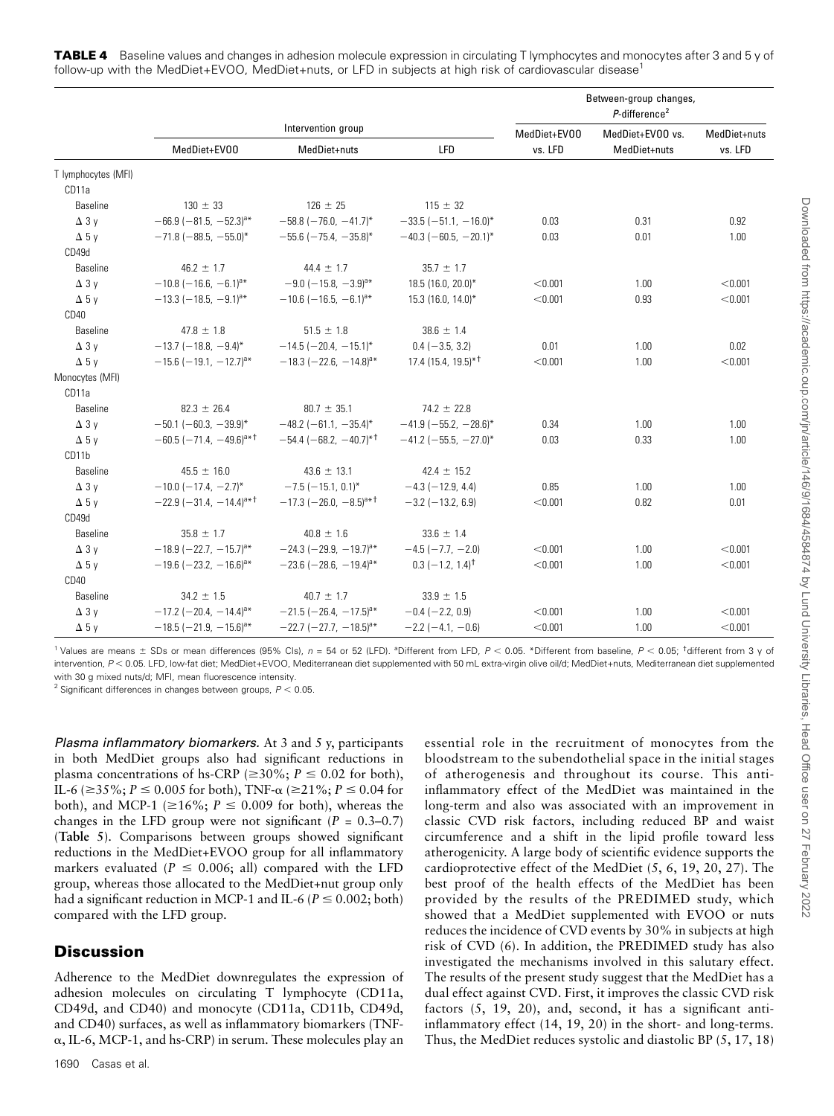|                     | Intervention group                         |                                             |                                | Between-group changes,<br>P-difference <sup>2</sup> |                  |              |
|---------------------|--------------------------------------------|---------------------------------------------|--------------------------------|-----------------------------------------------------|------------------|--------------|
|                     |                                            |                                             |                                | MedDiet+EV00                                        | MedDiet+EV00 vs. | MedDiet+nuts |
|                     | MedDiet+EV00                               | MedDiet+nuts                                | <b>LFD</b>                     | vs. LFD                                             | MedDiet+nuts     | vs. LFD      |
| T lymphocytes (MFI) |                                            |                                             |                                |                                                     |                  |              |
| CD11a               |                                            |                                             |                                |                                                     |                  |              |
| Baseline            | $130 \pm 33$                               | $126 \pm 25$                                | $115 \pm 32$                   |                                                     |                  |              |
| $\Delta$ 3 y        | $-66.9(-81.5, -52.3)^{a*}$                 | $-58.8$ ( $-76.0$ , $-41.7$ )*              | $-33.5$ ( $-51.1$ , $-16.0$ )* | 0.03                                                | 0.31             | 0.92         |
| $\Delta$ 5 y        | $-71.8$ ( $-88.5$ , $-55.0$ )*             | $-55.6$ ( $-75.4$ , $-35.8$ )*              | $-40.3$ (-60.5, -20.1)*        | 0.03                                                | 0.01             | 1.00         |
| CD49d               |                                            |                                             |                                |                                                     |                  |              |
| Baseline            | $46.2 \pm 1.7$                             | $44.4 \pm 1.7$                              | $35.7 \pm 1.7$                 |                                                     |                  |              |
| $\Delta$ 3 y        | $-10.8$ (-16.6, -6.1) <sup>a*</sup>        | $-9.0$ ( $-15.8$ , $-3.9$ ) <sup>a*</sup>   | 18.5 (16.0, 20.0)*             | < 0.001                                             | 1.00             | < 0.001      |
| $\Delta$ 5 v        | $-13.3$ (-18.5, -9.1) <sup>a*</sup>        | $-10.6$ (-16.5, -6.1) <sup>a*</sup>         | 15.3 (16.0, 14.0)*             | < 0.001                                             | 0.93             | < 0.001      |
| CD40                |                                            |                                             |                                |                                                     |                  |              |
| Baseline            | $47.8 \pm 1.8$                             | $51.5 \pm 1.8$                              | $38.6 \pm 1.4$                 |                                                     |                  |              |
| $\Delta$ 3 y        | $-13.7$ (-18.8, -9.4)*                     | $-14.5$ (-20.4, -15.1)*                     | $0.4 (-3.5, 3.2)$              | 0.01                                                | 1.00             | 0.02         |
| $\Delta$ 5 y        | $-15.6$ (-19.1, -12.7) <sup>a*</sup>       | $-18.3$ (-22.6, -14.8) <sup>a*</sup>        | $17.4(15.4.19.5)*+$            | < 0.001                                             | 1.00             | < 0.001      |
| Monocytes (MFI)     |                                            |                                             |                                |                                                     |                  |              |
| CD11a               |                                            |                                             |                                |                                                     |                  |              |
| Baseline            | $82.3 \pm 26.4$                            | $80.7 \pm 35.1$                             | $74.2 \pm 22.8$                |                                                     |                  |              |
| $\Delta$ 3 y        | $-50.1$ ( $-60.3$ , $-39.9$ )*             | $-48.2(-61.1, -35.4)$ *                     | $-41.9$ (-55.2, -28.6)*        | 0.34                                                | 1.00             | 1.00         |
| $\Delta$ 5 y        | $-60.5$ ( $-71.4$ $-49.6$ ) <sup>a*†</sup> | $-54.4$ (-68.2, -40.7) <sup>*†</sup>        | $-41.2$ (-55.5, -27.0)*        | 0.03                                                | 0.33             | 1.00         |
| CD11b               |                                            |                                             |                                |                                                     |                  |              |
| Baseline            | $45.5 \pm 16.0$                            | $43.6 \pm 13.1$                             | $42.4 \pm 15.2$                |                                                     |                  |              |
| $\Delta$ 3 y        | $-10.0$ ( $-17.4$ , $-2.7$ )*              | $-7.5$ ( $-15.1$ , 0.1)*                    | $-4.3$ ( $-12.9$ , 4.4)        | 0.85                                                | 1.00             | 1.00         |
| $\Delta$ 5 v        | $-22.9$ (-31.4, -14.4) <sup>a*†</sup>      | $-17.3$ (-26.0, -8.5) <sup>a*†</sup>        | $-3.2$ ( $-13.2$ , 6.9)        | < 0.001                                             | 0.82             | 0.01         |
| CD49d               |                                            |                                             |                                |                                                     |                  |              |
| Baseline            | $35.8 \pm 1.7$                             | $40.8 \pm 1.6$                              | $33.6 \pm 1.4$                 |                                                     |                  |              |
| $\Delta$ 3 y        | $-18.9$ (-22.7, -15.7) <sup>a*</sup>       | $-24.3$ ( $-29.9$ , $-19.7$ ) <sup>a*</sup> | $-4.5$ ( $-7.7$ , $-2.0$ )     | < 0.001                                             | 1.00             | < 0.001      |
| $\Delta$ 5 v        | $-19.6$ (-23.2, -16.6) <sup>a*</sup>       | $-23.6$ ( $-28.6$ . $-19.4$ ) <sup>a*</sup> | $0.3(-1.2, 1.4)^{\dagger}$     | < 0.001                                             | 1.00             | < 0.001      |
| CD40                |                                            |                                             |                                |                                                     |                  |              |
| Baseline            | $34.2 \pm 1.5$                             | $40.7 \pm 1.7$                              | $33.9 \pm 1.5$                 |                                                     |                  |              |
| $\Delta$ 3 y        | $-17.2$ (-20.4, -14.4) <sup>a*</sup>       | $-21.5$ ( $-26.4$ $-17.5$ ) <sup>a*</sup>   | $-0.4$ ( $-2.2$ , 0.9)         | < 0.001                                             | 1.00             | < 0.001      |
| $\Delta$ 5 y        | $-18.5$ (-21.9, -15.6) <sup>a*</sup>       | $-22.7$ (-27.7, -18.5) <sup>a*</sup>        | $-2.2$ ( $-4.1$ , $-0.6$ )     | < 0.001                                             | 1.00             | < 0.001      |

TABLE 4 Baseline values and changes in adhesion molecule expression in circulating T lymphocytes and monocytes after 3 and 5 y of follow-up with the MedDiet+EVOO, MedDiet+nuts, or LFD in subjects at high risk of cardiovascular disease<sup>1</sup>

<sup>1</sup> Values are means  $\pm$  SDs or mean differences (95% Cls), n = 54 or 52 (LFD). <sup>a</sup>Different from LFD,  $P$  < 0.05. \*Different from baseline,  $P$  < 0.05; <sup>†</sup>different from 3 y of intervention, P< 0.05. LFD, low-fat diet; MedDiet+EVOO, Mediterranean diet supplemented with 50 mL extra-virgin olive oil/d; MedDiet+nuts, Mediterranean diet supplemented with 30 g mixed nuts/d; MFI, mean fluorescence intensity.

<sup>2</sup> Significant differences in changes between groups,  $P < 0.05$ .

Plasma inflammatory biomarkers. At 3 and 5 y, participants in both MedDiet groups also had significant reductions in plasma concentrations of hs-CRP ( $\geq 30\%$ ;  $P \leq 0.02$  for both), IL-6 ( $\geq$ 35%; P  $\leq$  0.005 for both), TNF- $\alpha$  ( $\geq$ 21%; P  $\leq$  0.04 for both), and MCP-1 ( $\geq 16\%$ ;  $P \leq 0.009$  for both), whereas the changes in the LFD group were not significant ( $P = 0.3{\text -}0.7$ ) (Table 5). Comparisons between groups showed significant reductions in the MedDiet+EVOO group for all inflammatory markers evaluated ( $P \le 0.006$ ; all) compared with the LFD group, whereas those allocated to the MedDiet+nut group only had a significant reduction in MCP-1 and IL-6 ( $P \le 0.002$ ; both) compared with the LFD group.

# **Discussion**

Adherence to the MedDiet downregulates the expression of adhesion molecules on circulating T lymphocyte (CD11a, CD49d, and CD40) and monocyte (CD11a, CD11b, CD49d, and CD40) surfaces, as well as inflammatory biomarkers (TNF- $\alpha$ , IL-6, MCP-1, and hs-CRP) in serum. These molecules play an

essential role in the recruitment of monocytes from the bloodstream to the subendothelial space in the initial stages of atherogenesis and throughout its course. This antiinflammatory effect of the MedDiet was maintained in the long-term and also was associated with an improvement in classic CVD risk factors, including reduced BP and waist circumference and a shift in the lipid profile toward less atherogenicity. A large body of scientific evidence supports the cardioprotective effect of the MedDiet (5, 6, 19, 20, 27). The best proof of the health effects of the MedDiet has been provided by the results of the PREDIMED study, which showed that a MedDiet supplemented with EVOO or nuts reduces the incidence of CVD events by 30% in subjects at high risk of CVD (6). In addition, the PREDIMED study has also investigated the mechanisms involved in this salutary effect. The results of the present study suggest that the MedDiet has a dual effect against CVD. First, it improves the classic CVD risk factors  $(5, 19, 20)$ , and, second, it has a significant antiinflammatory effect (14, 19, 20) in the short- and long-terms. Thus, the MedDiet reduces systolic and diastolic BP (5, 17, 18)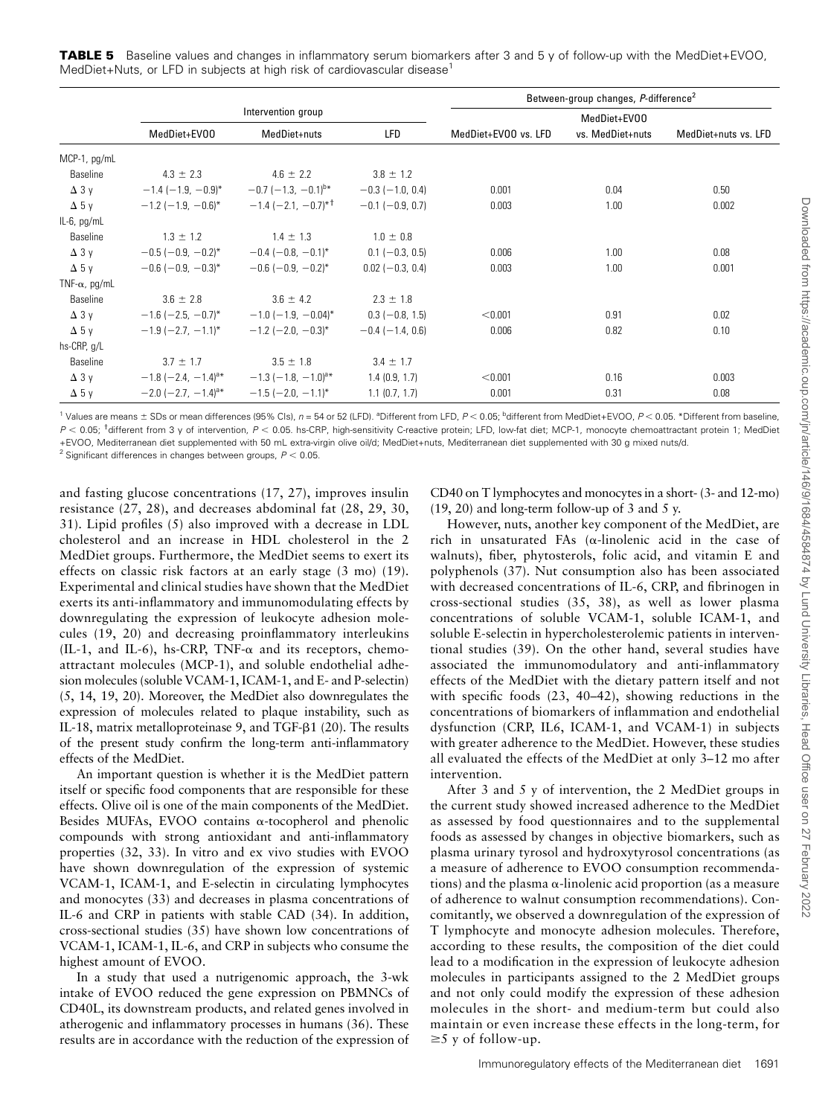| <b>TABLE 5</b> Baseline values and changes in inflammatory serum biomarkers after 3 and 5 y of follow-up with the MedDiet+EVOO, |
|---------------------------------------------------------------------------------------------------------------------------------|
| MedDiet+Nuts, or LFD in subjects at high risk of cardiovascular disease $^1$                                                    |

|                       | Intervention group                |                                   |                        | Between-group changes, P-difference <sup>2</sup> |                  |                      |
|-----------------------|-----------------------------------|-----------------------------------|------------------------|--------------------------------------------------|------------------|----------------------|
|                       |                                   |                                   |                        | MedDiet+EV00                                     |                  |                      |
|                       | MedDiet+EV00                      | MedDiet+nuts                      | LFD                    | MedDiet+EV00 vs. LFD                             | vs. MedDiet+nuts | MedDiet+nuts vs. LFD |
| MCP-1, pg/mL          |                                   |                                   |                        |                                                  |                  |                      |
| Baseline              | $4.3 \pm 2.3$                     | $4.6 \pm 2.2$                     | $3.8 \pm 1.2$          |                                                  |                  |                      |
| $\Delta$ 3 y          | $-1.4$ (-1.9, -0.9) <sup>*</sup>  | $-0.7$ (-1.3, -0.1) <sup>b*</sup> | $-0.3$ ( $-1.0$ , 0.4) | 0.001                                            | 0.04             | 0.50                 |
| $\Delta$ 5 v          | $-1.2$ (-1.9, -0.6)*              | $-1.4$ (-2.1, -0.7) <sup>*†</sup> | $-0.1$ ( $-0.9$ , 0.7) | 0.003                                            | 1.00             | 0.002                |
| $IL-6$ , pg/mL        |                                   |                                   |                        |                                                  |                  |                      |
| Baseline              | $1.3 \pm 1.2$                     | $1.4 \pm 1.3$                     | $1.0 \pm 0.8$          |                                                  |                  |                      |
| $\Delta$ 3 y          | $-0.5$ (-0.9, -0.2)*              | $-0.4$ (-0.8, -0.1)*              | $0.1$ (-0.3, 0.5)      | 0.006                                            | 1.00             | 0.08                 |
| $\Delta$ 5 y          | $-0.6$ (-0.9, -0.3)*              | $-0.6$ (-0.9, -0.2)*              | $0.02$ (-0.3, 0.4)     | 0.003                                            | 1.00             | 0.001                |
| TNF- $\alpha$ , pg/mL |                                   |                                   |                        |                                                  |                  |                      |
| Baseline              | $3.6 \pm 2.8$                     | $3.6 \pm 4.2$                     | $2.3 \pm 1.8$          |                                                  |                  |                      |
| $\Delta$ 3 y          | $-1.6$ (-2.5, -0.7)*              | $-1.0$ (-1.9, -0.04)*             | $0.3$ (-0.8, 1.5)      | < 0.001                                          | 0.91             | 0.02                 |
| $\Delta$ 5 y          | $-1.9(-2.7, -1.1)^{*}$            | $-1.2$ (-2.0, -0.3)*              | $-0.4$ ( $-1.4$ , 0.6) | 0.006                                            | 0.82             | 0.10                 |
| hs-CRP, g/L           |                                   |                                   |                        |                                                  |                  |                      |
| Baseline              | $3.7 \pm 1.7$                     | $3.5 \pm 1.8$                     | $3.4 \pm 1.7$          |                                                  |                  |                      |
| $\Delta$ 3 y          | $-1.8$ (-2.4, -1.4) <sup>a*</sup> | $-1.3$ (-1.8, -1.0) <sup>a*</sup> | 1.4(0.9, 1.7)          | < 0.001                                          | 0.16             | 0.003                |
| $\Delta$ 5 y          | $-2.0$ (-2.7, -1.4) <sup>a*</sup> | $-1.5$ (-2.0, -1.1)*              | $1.1$ (0.7, 1.7)       | 0.001                                            | 0.31             | 0.08                 |

<sup>1</sup> Values are means  $\pm$  SDs or mean differences (95% CIs), n = 54 or 52 (LFD). <sup>a</sup>Different from LFD,  $P < 0.05$ , <sup>b</sup>different from MedDiet+EVOO,  $P < 0.05$ . \*Different from baseline,  $P$  < 0.05; <sup>T</sup>different from 3 y of intervention, P < 0.05. hs-CRP, high-sensitivity C-reactive protein; LFD, low-fat diet; MCP-1, monocyte chemoattractant protein 1; MedDiet +EVOO, Mediterranean diet supplemented with 50 mL extra-virgin olive oil/d; MedDiet+nuts, Mediterranean diet supplemented with 30 g mixed nuts/d. <sup>2</sup> Significant differences in changes between groups,  $P < 0.05$ .

and fasting glucose concentrations (17, 27), improves insulin resistance (27, 28), and decreases abdominal fat (28, 29, 30, 31). Lipid profiles (5) also improved with a decrease in LDL cholesterol and an increase in HDL cholesterol in the 2 MedDiet groups. Furthermore, the MedDiet seems to exert its effects on classic risk factors at an early stage (3 mo) (19). Experimental and clinical studies have shown that the MedDiet exerts its anti-inflammatory and immunomodulating effects by downregulating the expression of leukocyte adhesion molecules (19, 20) and decreasing proinflammatory interleukins (IL-1, and IL-6), hs-CRP, TNF- $\alpha$  and its receptors, chemoattractant molecules (MCP-1), and soluble endothelial adhesion molecules (soluble VCAM-1, ICAM-1, and E- and P-selectin) (5, 14, 19, 20). Moreover, the MedDiet also downregulates the expression of molecules related to plaque instability, such as IL-18, matrix metalloproteinase 9, and TGF-b1 (20). The results of the present study confirm the long-term anti-inflammatory effects of the MedDiet.

An important question is whether it is the MedDiet pattern itself or specific food components that are responsible for these effects. Olive oil is one of the main components of the MedDiet. Besides MUFAs, EVOO contains  $\alpha$ -tocopherol and phenolic compounds with strong antioxidant and anti-inflammatory properties (32, 33). In vitro and ex vivo studies with EVOO have shown downregulation of the expression of systemic VCAM-1, ICAM-1, and E-selectin in circulating lymphocytes and monocytes (33) and decreases in plasma concentrations of IL-6 and CRP in patients with stable CAD (34). In addition, cross-sectional studies (35) have shown low concentrations of VCAM-1, ICAM-1, IL-6, and CRP in subjects who consume the highest amount of EVOO.

In a study that used a nutrigenomic approach, the 3-wk intake of EVOO reduced the gene expression on PBMNCs of CD40L, its downstream products, and related genes involved in atherogenic and inflammatory processes in humans (36). These results are in accordance with the reduction of the expression of CD40 on T lymphocytes and monocytes in a short- (3- and 12-mo)  $(19, 20)$  and long-term follow-up of 3 and 5 y.

However, nuts, another key component of the MedDiet, are rich in unsaturated FAs ( $\alpha$ -linolenic acid in the case of walnuts), fiber, phytosterols, folic acid, and vitamin E and polyphenols (37). Nut consumption also has been associated with decreased concentrations of IL-6, CRP, and fibrinogen in cross-sectional studies (35, 38), as well as lower plasma concentrations of soluble VCAM-1, soluble ICAM-1, and soluble E-selectin in hypercholesterolemic patients in interventional studies (39). On the other hand, several studies have associated the immunomodulatory and anti-inflammatory effects of the MedDiet with the dietary pattern itself and not with specific foods (23, 40–42), showing reductions in the concentrations of biomarkers of inflammation and endothelial dysfunction (CRP, IL6, ICAM-1, and VCAM-1) in subjects with greater adherence to the MedDiet. However, these studies all evaluated the effects of the MedDiet at only 3–12 mo after intervention.

After 3 and 5 y of intervention, the 2 MedDiet groups in the current study showed increased adherence to the MedDiet as assessed by food questionnaires and to the supplemental foods as assessed by changes in objective biomarkers, such as plasma urinary tyrosol and hydroxytyrosol concentrations (as a measure of adherence to EVOO consumption recommendations) and the plasma  $\alpha$ -linolenic acid proportion (as a measure of adherence to walnut consumption recommendations). Concomitantly, we observed a downregulation of the expression of T lymphocyte and monocyte adhesion molecules. Therefore, according to these results, the composition of the diet could lead to a modification in the expression of leukocyte adhesion molecules in participants assigned to the 2 MedDiet groups and not only could modify the expression of these adhesion molecules in the short- and medium-term but could also maintain or even increase these effects in the long-term, for  $\geq$ 5 y of follow-up.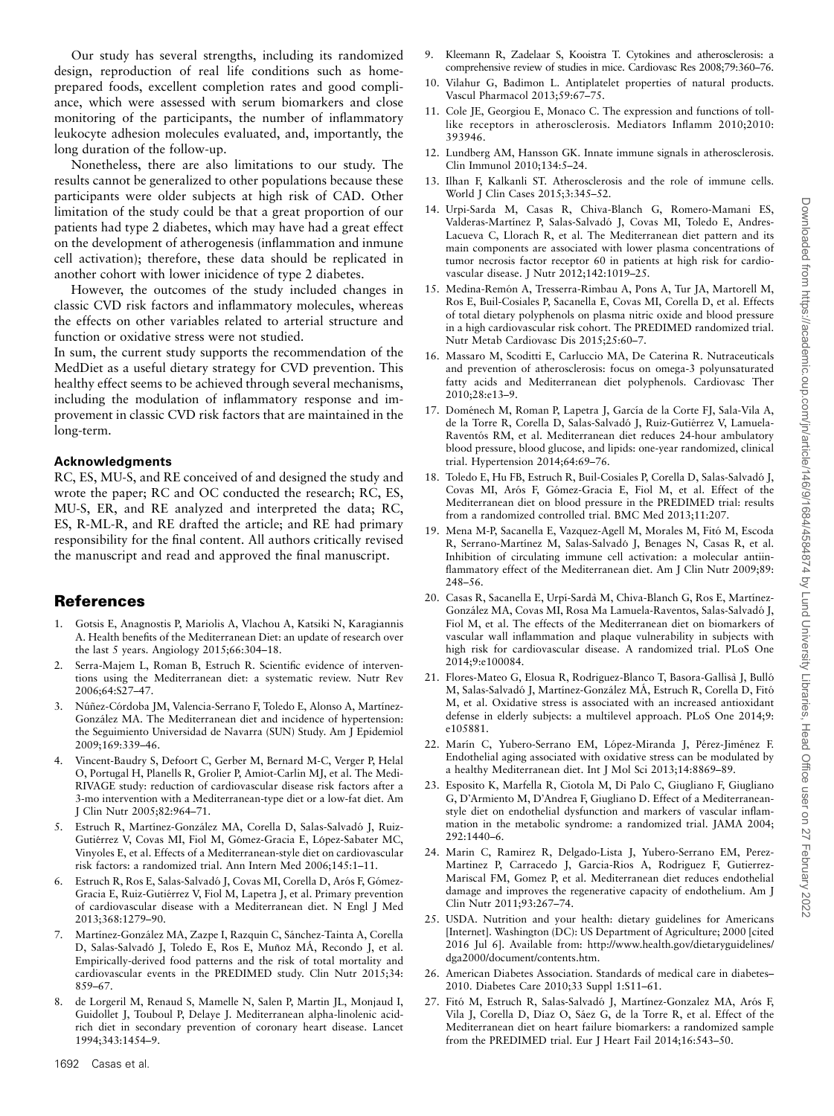Our study has several strengths, including its randomized design, reproduction of real life conditions such as homeprepared foods, excellent completion rates and good compliance, which were assessed with serum biomarkers and close monitoring of the participants, the number of inflammatory leukocyte adhesion molecules evaluated, and, importantly, the long duration of the follow-up.

Nonetheless, there are also limitations to our study. The results cannot be generalized to other populations because these participants were older subjects at high risk of CAD. Other limitation of the study could be that a great proportion of our patients had type 2 diabetes, which may have had a great effect on the development of atherogenesis (inflammation and inmune cell activation); therefore, these data should be replicated in another cohort with lower inicidence of type 2 diabetes.

However, the outcomes of the study included changes in classic CVD risk factors and inflammatory molecules, whereas the effects on other variables related to arterial structure and function or oxidative stress were not studied.

In sum, the current study supports the recommendation of the MedDiet as a useful dietary strategy for CVD prevention. This healthy effect seems to be achieved through several mechanisms, including the modulation of inflammatory response and improvement in classic CVD risk factors that are maintained in the long-term.

#### Acknowledgments

RC, ES, MU-S, and RE conceived of and designed the study and wrote the paper; RC and OC conducted the research; RC, ES, MU-S, ER, and RE analyzed and interpreted the data; RC, ES, R-ML-R, and RE drafted the article; and RE had primary responsibility for the final content. All authors critically revised the manuscript and read and approved the final manuscript.

#### References

- 1. Gotsis E, Anagnostis P, Mariolis A, Vlachou A, Katsiki N, Karagiannis A. Health benefits of the Mediterranean Diet: an update of research over the last 5 years. Angiology 2015;66:304–18.
- Serra-Majem L, Roman B, Estruch R. Scientific evidence of interventions using the Mediterranean diet: a systematic review. Nutr Rev 2006;64:S27–47.
- Núñez-Córdoba JM, Valencia-Serrano F, Toledo E, Alonso A, Martínez-González MA. The Mediterranean diet and incidence of hypertension: the Seguimiento Universidad de Navarra (SUN) Study. Am J Epidemiol 2009;169:339–46.
- 4. Vincent-Baudry S, Defoort C, Gerber M, Bernard M-C, Verger P, Helal O, Portugal H, Planells R, Grolier P, Amiot-Carlin MJ, et al. The Medi-RIVAGE study: reduction of cardiovascular disease risk factors after a 3-mo intervention with a Mediterranean-type diet or a low-fat diet. Am J Clin Nutr 2005;82:964–71.
- 5. Estruch R, Martínez-González MA, Corella D, Salas-Salvadó J, Ruiz-Gutiérrez V, Covas MI, Fiol M, Gómez-Gracia E, López-Sabater MC, Vinyoles E, et al. Effects of a Mediterranean-style diet on cardiovascular risk factors: a randomized trial. Ann Intern Med 2006;145:1–11.
- 6. Estruch R, Ros E, Salas-Salvadó J, Covas MI, Corella D, Arós F, Gómez-Gracia E, Ruiz-Gutiérrez V, Fiol M, Lapetra J, et al. Primary prevention of cardiovascular disease with a Mediterranean diet. N Engl J Med 2013;368:1279–90.
- 7. Martínez-González MA, Zazpe I, Razquin C, Sánchez-Tainta A, Corella D, Salas-Salvadó J, Toledo E, Ros E, Muñoz MÁ, Recondo J, et al. Empirically-derived food patterns and the risk of total mortality and cardiovascular events in the PREDIMED study. Clin Nutr 2015;34: 859–67.
- 8. de Lorgeril M, Renaud S, Mamelle N, Salen P, Martin JL, Monjaud I, Guidollet J, Touboul P, Delaye J. Mediterranean alpha-linolenic acidrich diet in secondary prevention of coronary heart disease. Lancet 1994;343:1454–9.
- 9. Kleemann R, Zadelaar S, Kooistra T. Cytokines and atherosclerosis: a comprehensive review of studies in mice. Cardiovasc Res 2008;79:360–76.
- 10. Vilahur G, Badimon L. Antiplatelet properties of natural products. Vascul Pharmacol 2013;59:67–75.
- 11. Cole JE, Georgiou E, Monaco C. The expression and functions of tolllike receptors in atherosclerosis. Mediators Inflamm 2010;2010: 393946.
- 12. Lundberg AM, Hansson GK. Innate immune signals in atherosclerosis. Clin Immunol 2010;134:5–24.
- 13. Ilhan F, Kalkanli ST. Atherosclerosis and the role of immune cells. World J Clin Cases 2015;3:345–52.
- 14. Urpi-Sarda M, Casas R, Chiva-Blanch G, Romero-Mamani ES, Valderas-Martínez P, Salas-Salvadó J, Covas MI, Toledo E, Andres-Lacueva C, Llorach R, et al. The Mediterranean diet pattern and its main components are associated with lower plasma concentrations of tumor necrosis factor receptor 60 in patients at high risk for cardiovascular disease. J Nutr 2012;142:1019–25.
- 15. Medina-Remón A, Tresserra-Rimbau A, Pons A, Tur JA, Martorell M, Ros E, Buil-Cosiales P, Sacanella E, Covas MI, Corella D, et al. Effects of total dietary polyphenols on plasma nitric oxide and blood pressure in a high cardiovascular risk cohort. The PREDIMED randomized trial. Nutr Metab Cardiovasc Dis 2015;25:60–7.
- 16. Massaro M, Scoditti E, Carluccio MA, De Caterina R. Nutraceuticals and prevention of atherosclerosis: focus on omega-3 polyunsaturated fatty acids and Mediterranean diet polyphenols. Cardiovasc Ther 2010;28:e13–9.
- 17. Doménech M, Roman P, Lapetra J, García de la Corte FJ, Sala-Vila A, de la Torre R, Corella D, Salas-Salvadó J, Ruiz-Gutiérrez V, Lamuela-Raventós RM, et al. Mediterranean diet reduces 24-hour ambulatory blood pressure, blood glucose, and lipids: one-year randomized, clinical trial. Hypertension 2014;64:69–76.
- 18. Toledo E, Hu FB, Estruch R, Buil-Cosiales P, Corella D, Salas-Salvado J, ´ Covas MI, Arós F, Gómez-Gracia E, Fiol M, et al. Effect of the Mediterranean diet on blood pressure in the PREDIMED trial: results from a randomized controlled trial. BMC Med 2013;11:207.
- 19. Mena M-P, Sacanella E, Vazquez-Agell M, Morales M, Fito M, Escoda ´ R, Serrano-Martínez M, Salas-Salvadó J, Benages N, Casas R, et al. Inhibition of circulating immune cell activation: a molecular antiinflammatory effect of the Mediterranean diet. Am J Clin Nutr 2009;89: 248–56.
- 20. Casas R, Sacanella E, Urpí-Sardà M, Chiva-Blanch G, Ros E, Martínez-González MA, Covas MI, Rosa Ma Lamuela-Raventos, Salas-Salvadó J, Fiol M, et al. The effects of the Mediterranean diet on biomarkers of vascular wall inflammation and plaque vulnerability in subjects with high risk for cardiovascular disease. A randomized trial. PLoS One 2014;9:e100084.
- 21. Flores-Mateo G, Elosua R, Rodriguez-Blanco T, Basora-Gallisà J, Bulló M, Salas-Salvadó J, Martínez-González MA, Estruch R, Corella D, Fitó M, et al. Oxidative stress is associated with an increased antioxidant defense in elderly subjects: a multilevel approach. PLoS One 2014;9: e105881.
- 22. Marín C, Yubero-Serrano EM, López-Miranda J, Pérez-Jiménez F. Endothelial aging associated with oxidative stress can be modulated by a healthy Mediterranean diet. Int J Mol Sci 2013;14:8869–89.
- 23. Esposito K, Marfella R, Ciotola M, Di Palo C, Giugliano F, Giugliano G, D'Armiento M, D'Andrea F, Giugliano D. Effect of a Mediterraneanstyle diet on endothelial dysfunction and markers of vascular inflammation in the metabolic syndrome: a randomized trial. JAMA 2004; 292:1440–6.
- 24. Marin C, Ramirez R, Delgado-Lista J, Yubero-Serrano EM, Perez-Martinez P, Carracedo J, Garcia-Rios A, Rodriguez F, Gutierrez-Mariscal FM, Gomez P, et al. Mediterranean diet reduces endothelial damage and improves the regenerative capacity of endothelium. Am J Clin Nutr 2011;93:267–74.
- 25. USDA. Nutrition and your health: dietary guidelines for Americans [Internet]. Washington (DC): US Department of Agriculture; 2000 [cited 2016 Jul 6]. Available from: http://www.health.gov/dietaryguidelines/ dga2000/document/contents.htm.
- 26. American Diabetes Association. Standards of medical care in diabetes– 2010. Diabetes Care 2010;33 Suppl 1:S11–61.
- 27. Fitó M, Estruch R, Salas-Salvadó J, Martínez-Gonzalez MA, Arós F, Vila J, Corella D, Díaz O, Sáez G, de la Torre R, et al. Effect of the Mediterranean diet on heart failure biomarkers: a randomized sample from the PREDIMED trial. Eur J Heart Fail 2014;16:543–50.